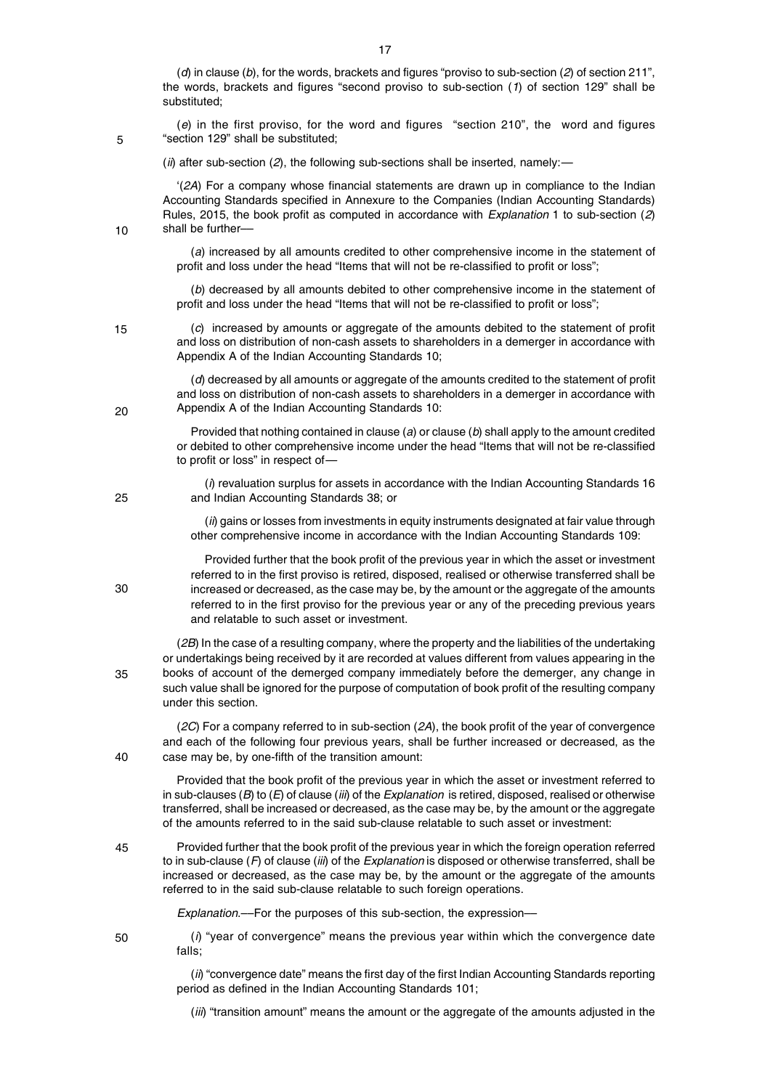(*d*) in clause (*b*), for the words, brackets and figures "proviso to sub-section (*2*) of section 211", the words, brackets and figures "second proviso to sub-section (*1*) of section 129" shall be substituted;

(*e*) in the first proviso, for the word and figures "section 210", the word and figures "section 129" shall be substituted;

(*ii*) after sub-section (*2*), the following sub-sections shall be inserted, namely:*—*

'(*2A*) For a company whose financial statements are drawn up in compliance to the Indian Accounting Standards specified in Annexure to the Companies (Indian Accounting Standards) Rules, 2015, the book profit as computed in accordance with *Explanation* 1 to sub-section (*2*) shall be further––

(*a*) increased by all amounts credited to other comprehensive income in the statement of profit and loss under the head "Items that will not be re-classified to profit or loss";

(*b*) decreased by all amounts debited to other comprehensive income in the statement of profit and loss under the head "Items that will not be re-classified to profit or loss";

15

 $20$ 

25

30

40

35

45

5

10

(*c*) increased by amounts or aggregate of the amounts debited to the statement of profit and loss on distribution of non-cash assets to shareholders in a demerger in accordance with Appendix A of the Indian Accounting Standards 10;

(*d*) decreased by all amounts or aggregate of the amounts credited to the statement of profit and loss on distribution of non-cash assets to shareholders in a demerger in accordance with Appendix A of the Indian Accounting Standards 10:

Provided that nothing contained in clause (*a*) or clause (*b*) shall apply to the amount credited or debited to other comprehensive income under the head "Items that will not be re-classified to profit or loss" in respect of*—*

(*i*) revaluation surplus for assets in accordance with the Indian Accounting Standards 16 and Indian Accounting Standards 38; or

(*ii*) gains or losses from investments in equity instruments designated at fair value through other comprehensive income in accordance with the Indian Accounting Standards 109:

Provided further that the book profit of the previous year in which the asset or investment referred to in the first proviso is retired, disposed, realised or otherwise transferred shall be increased or decreased, as the case may be, by the amount or the aggregate of the amounts referred to in the first proviso for the previous year or any of the preceding previous years and relatable to such asset or investment.

(*2B*) In the case of a resulting company, where the property and the liabilities of the undertaking or undertakings being received by it are recorded at values different from values appearing in the books of account of the demerged company immediately before the demerger, any change in such value shall be ignored for the purpose of computation of book profit of the resulting company under this section.

(*2C*) For a company referred to in sub-section (*2A*), the book profit of the year of convergence and each of the following four previous years, shall be further increased or decreased, as the case may be, by one-fifth of the transition amount:

Provided that the book profit of the previous year in which the asset or investment referred to in sub-clauses (*B*) to (*E*) of clause (*iii*) of the *Explanation* is retired, disposed, realised or otherwise transferred, shall be increased or decreased, as the case may be, by the amount or the aggregate of the amounts referred to in the said sub-clause relatable to such asset or investment:

Provided further that the book profit of the previous year in which the foreign operation referred to in sub-clause (*F*) of clause (*iii*) of the *Explanation* is disposed or otherwise transferred, shall be increased or decreased, as the case may be, by the amount or the aggregate of the amounts referred to in the said sub-clause relatable to such foreign operations.

*Explanation*.––For the purposes of this sub-section, the expression––

50

(*i*) "year of convergence" means the previous year within which the convergence date falls;

(*ii*) "convergence date" means the first day of the first Indian Accounting Standards reporting period as defined in the Indian Accounting Standards 101;

(*iii*) "transition amount" means the amount or the aggregate of the amounts adjusted in the